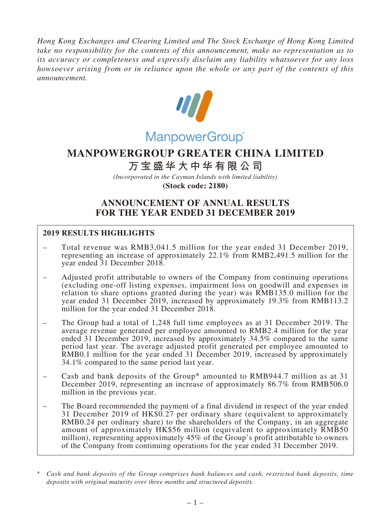*Hong Kong Exchanges and Clearing Limited and The Stock Exchange of Hong Kong Limited take no responsibility for the contents of this announcement, make no representation as to its accuracy or completeness and expressly disclaim any liability whatsoever for any loss howsoever arising from or in reliance upon the whole or any part of the contents of this announcement.*



# ManpowerGroup®

## **MANPOWERGROUP GREATER CHINA LIMITED**

## **万宝盛华大中华有限公司**

*(Incorporated in the Cayman Islands with limited liability)* **(Stock code: 2180)**

## **ANNOUNCEMENT OF ANNUAL RESULTS FOR THE YEAR ENDED 31 DECEMBER 2019**

## **2019 RESULTS HIGHLIGHTS**

- Total revenue was RMB3,041.5 million for the year ended 31 December 2019, representing an increase of approximately 22.1% from RMB2,491.5 million for the year ended 31 December 2018.
- Adjusted profit attributable to owners of the Company from continuing operations (excluding one-off listing expenses, impairment loss on goodwill and expenses in relation to share options granted during the year) was RMB135.0 million for the year ended 31 December 2019, increased by approximately 19.3% from RMB113.2 million for the year ended 31 December 2018.
- The Group had a total of 1,248 full time employees as at 31 December 2019. The average revenue generated per employee amounted to RMB2.4 million for the year ended 31 December 2019, increased by approximately 34.5% compared to the same period last year. The average adjusted profit generated per employee amounted to RMB0.1 million for the year ended 31 December 2019, increased by approximately 34.1% compared to the same period last year.
- Cash and bank deposits of the Group\* amounted to RMB944.7 million as at 31 December 2019, representing an increase of approximately 86.7% from RMB506.0 million in the previous year.
- The Board recommended the payment of a final dividend in respect of the year ended 31 December 2019 of HK\$0.27 per ordinary share (equivalent to approximately RMB0.24 per ordinary share) to the shareholders of the Company, in an aggregate amount of approximately HK\$56 million (equivalent to approximately RMB50 million), representing approximately 45% of the Group's profit attributable to owners of the Company from continuing operations for the year ended 31 December 2019.

<sup>\*</sup> *Cash and bank deposits of the Group comprises bank balances and cash, restricted bank deposits, time deposits with original maturity over three months and structured deposits.*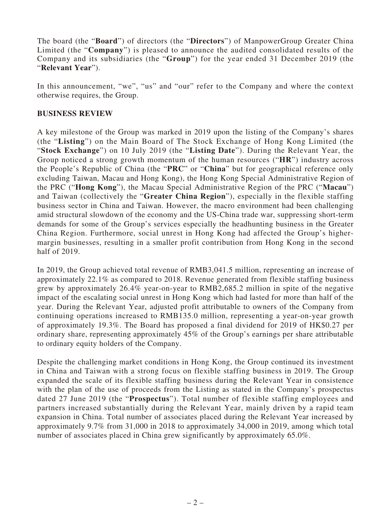The board (the "**Board**") of directors (the "**Directors**") of ManpowerGroup Greater China Limited (the "**Company**") is pleased to announce the audited consolidated results of the Company and its subsidiaries (the "**Group**") for the year ended 31 December 2019 (the "**Relevant Year**").

In this announcement, "we", "us" and "our" refer to the Company and where the context otherwise requires, the Group.

#### **BUSINESS REVIEW**

A key milestone of the Group was marked in 2019 upon the listing of the Company's shares (the "**Listing**") on the Main Board of The Stock Exchange of Hong Kong Limited (the "**Stock Exchange**") on 10 July 2019 (the "**Listing Date**"). During the Relevant Year, the Group noticed a strong growth momentum of the human resources ("**HR**") industry across the People's Republic of China (the "**PRC**" or "**China**" but for geographical reference only excluding Taiwan, Macau and Hong Kong), the Hong Kong Special Administrative Region of the PRC ("**Hong Kong**"), the Macau Special Administrative Region of the PRC ("**Macau**") and Taiwan (collectively the "**Greater China Region**"), especially in the flexible staffing business sector in China and Taiwan. However, the macro environment had been challenging amid structural slowdown of the economy and the US-China trade war, suppressing short-term demands for some of the Group's services especially the headhunting business in the Greater China Region. Furthermore, social unrest in Hong Kong had affected the Group's highermargin businesses, resulting in a smaller profit contribution from Hong Kong in the second half of 2019.

In 2019, the Group achieved total revenue of RMB3,041.5 million, representing an increase of approximately 22.1% as compared to 2018. Revenue generated from flexible staffing business grew by approximately 26.4% year-on-year to RMB2,685.2 million in spite of the negative impact of the escalating social unrest in Hong Kong which had lasted for more than half of the year. During the Relevant Year, adjusted profit attributable to owners of the Company from continuing operations increased to RMB135.0 million, representing a year-on-year growth of approximately 19.3%. The Board has proposed a final dividend for 2019 of HK\$0.27 per ordinary share, representing approximately 45% of the Group's earnings per share attributable to ordinary equity holders of the Company.

Despite the challenging market conditions in Hong Kong, the Group continued its investment in China and Taiwan with a strong focus on flexible staffing business in 2019. The Group expanded the scale of its flexible staffing business during the Relevant Year in consistence with the plan of the use of proceeds from the Listing as stated in the Company's prospectus dated 27 June 2019 (the "**Prospectus**"). Total number of flexible staffing employees and partners increased substantially during the Relevant Year, mainly driven by a rapid team expansion in China. Total number of associates placed during the Relevant Year increased by approximately 9.7% from 31,000 in 2018 to approximately 34,000 in 2019, among which total number of associates placed in China grew significantly by approximately 65.0%.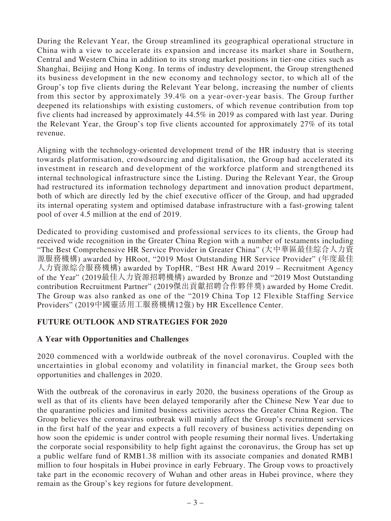During the Relevant Year, the Group streamlined its geographical operational structure in China with a view to accelerate its expansion and increase its market share in Southern, Central and Western China in addition to its strong market positions in tier-one cities such as Shanghai, Beijing and Hong Kong. In terms of industry development, the Group strengthened its business development in the new economy and technology sector, to which all of the Group's top five clients during the Relevant Year belong, increasing the number of clients from this sector by approximately 39.4% on a year-over-year basis. The Group further deepened its relationships with existing customers, of which revenue contribution from top five clients had increased by approximately 44.5% in 2019 as compared with last year. During the Relevant Year, the Group's top five clients accounted for approximately 27% of its total revenue.

Aligning with the technology-oriented development trend of the HR industry that is steering towards platformisation, crowdsourcing and digitalisation, the Group had accelerated its investment in research and development of the workforce platform and strengthened its internal technological infrastructure since the Listing. During the Relevant Year, the Group had restructured its information technology department and innovation product department, both of which are directly led by the chief executive officer of the Group, and had upgraded its internal operating system and optimised database infrastructure with a fast-growing talent pool of over 4.5 million at the end of 2019.

Dedicated to providing customised and professional services to its clients, the Group had received wide recognition in the Greater China Region with a number of testaments including "The Best Comprehensive HR Service Provider in Greater China" (大中華區最佳綜合人力資 源服務機構) awarded by HRoot, "2019 Most Outstanding HR Service Provider" (年度最佳 人力資源綜合服務機構) awarded by TopHR, "Best HR Award 2019 – Recruitment Agency of the Year" (2019最佳人力資源招聘機構) awarded by Bronze and "2019 Most Outstanding contribution Recruitment Partner" (2019傑出貢獻招聘合作夥伴獎) awarded by Home Credit. The Group was also ranked as one of the "2019 China Top 12 Flexible Staffing Service Providers" (2019中國靈活用工服務機構12強) by HR Excellence Center.

## **FUTURE OUTLOOK AND STRATEGIES FOR 2020**

## **A Year with Opportunities and Challenges**

2020 commenced with a worldwide outbreak of the novel coronavirus. Coupled with the uncertainties in global economy and volatility in financial market, the Group sees both opportunities and challenges in 2020.

With the outbreak of the coronavirus in early 2020, the business operations of the Group as well as that of its clients have been delayed temporarily after the Chinese New Year due to the quarantine policies and limited business activities across the Greater China Region. The Group believes the coronavirus outbreak will mainly affect the Group's recruitment services in the first half of the year and expects a full recovery of business activities depending on how soon the epidemic is under control with people resuming their normal lives. Undertaking the corporate social responsibility to help fight against the coronavirus, the Group has set up a public welfare fund of RMB1.38 million with its associate companies and donated RMB1 million to four hospitals in Hubei province in early February. The Group vows to proactively take part in the economic recovery of Wuhan and other areas in Hubei province, where they remain as the Group's key regions for future development.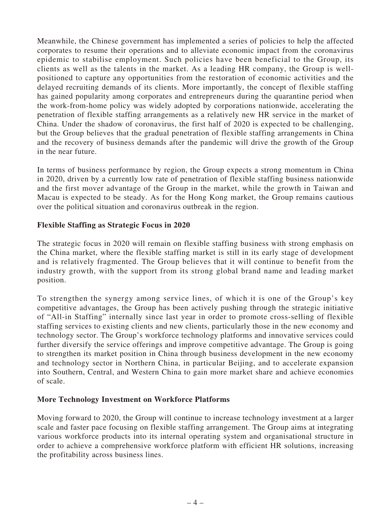Meanwhile, the Chinese government has implemented a series of policies to help the affected corporates to resume their operations and to alleviate economic impact from the coronavirus epidemic to stabilise employment. Such policies have been beneficial to the Group, its clients as well as the talents in the market. As a leading HR company, the Group is wellpositioned to capture any opportunities from the restoration of economic activities and the delayed recruiting demands of its clients. More importantly, the concept of flexible staffing has gained popularity among corporates and entrepreneurs during the quarantine period when the work-from-home policy was widely adopted by corporations nationwide, accelerating the penetration of flexible staffing arrangements as a relatively new HR service in the market of China. Under the shadow of coronavirus, the first half of 2020 is expected to be challenging, but the Group believes that the gradual penetration of flexible staffing arrangements in China and the recovery of business demands after the pandemic will drive the growth of the Group in the near future.

In terms of business performance by region, the Group expects a strong momentum in China in 2020, driven by a currently low rate of penetration of flexible staffing business nationwide and the first mover advantage of the Group in the market, while the growth in Taiwan and Macau is expected to be steady. As for the Hong Kong market, the Group remains cautious over the political situation and coronavirus outbreak in the region.

## **Flexible Staffing as Strategic Focus in 2020**

The strategic focus in 2020 will remain on flexible staffing business with strong emphasis on the China market, where the flexible staffing market is still in its early stage of development and is relatively fragmented. The Group believes that it will continue to benefit from the industry growth, with the support from its strong global brand name and leading market position.

To strengthen the synergy among service lines, of which it is one of the Group's key competitive advantages, the Group has been actively pushing through the strategic initiative of "All-in Staffing" internally since last year in order to promote cross-selling of flexible staffing services to existing clients and new clients, particularly those in the new economy and technology sector. The Group's workforce technology platforms and innovative services could further diversify the service offerings and improve competitive advantage. The Group is going to strengthen its market position in China through business development in the new economy and technology sector in Northern China, in particular Beijing, and to accelerate expansion into Southern, Central, and Western China to gain more market share and achieve economies of scale.

## **More Technology Investment on Workforce Platforms**

Moving forward to 2020, the Group will continue to increase technology investment at a larger scale and faster pace focusing on flexible staffing arrangement. The Group aims at integrating various workforce products into its internal operating system and organisational structure in order to achieve a comprehensive workforce platform with efficient HR solutions, increasing the profitability across business lines.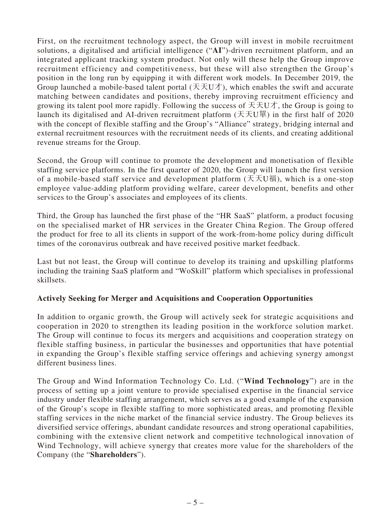First, on the recruitment technology aspect, the Group will invest in mobile recruitment solutions, a digitalised and artificial intelligence ("**AI**")-driven recruitment platform, and an integrated applicant tracking system product. Not only will these help the Group improve recruitment efficiency and competitiveness, but these will also strengthen the Group's position in the long run by equipping it with different work models. In December 2019, the Group launched a mobile-based talent portal  $(\pm \pm U\pi)$ , which enables the swift and accurate matching between candidates and positions, thereby improving recruitment efficiency and growing its talent pool more rapidly. Following the success of  $\pm \pm U \pm \pi$ , the Group is going to launch its digitalised and AI-driven recruitment platform (天天U單) in the first half of 2020 with the concept of flexible staffing and the Group's "Alliance" strategy, bridging internal and external recruitment resources with the recruitment needs of its clients, and creating additional revenue streams for the Group.

Second, the Group will continue to promote the development and monetisation of flexible staffing service platforms. In the first quarter of 2020, the Group will launch the first version of a mobile-based staff service and development platform (天天U福), which is a one-stop employee value-adding platform providing welfare, career development, benefits and other services to the Group's associates and employees of its clients.

Third, the Group has launched the first phase of the "HR SaaS" platform, a product focusing on the specialised market of HR services in the Greater China Region. The Group offered the product for free to all its clients in support of the work-from-home policy during difficult times of the coronavirus outbreak and have received positive market feedback.

Last but not least, the Group will continue to develop its training and upskilling platforms including the training SaaS platform and "WoSkill" platform which specialises in professional skillsets.

## **Actively Seeking for Merger and Acquisitions and Cooperation Opportunities**

In addition to organic growth, the Group will actively seek for strategic acquisitions and cooperation in 2020 to strengthen its leading position in the workforce solution market. The Group will continue to focus its mergers and acquisitions and cooperation strategy on flexible staffing business, in particular the businesses and opportunities that have potential in expanding the Group's flexible staffing service offerings and achieving synergy amongst different business lines.

The Group and Wind Information Technology Co. Ltd. ("**Wind Technology**") are in the process of setting up a joint venture to provide specialised expertise in the financial service industry under flexible staffing arrangement, which serves as a good example of the expansion of the Group's scope in flexible staffing to more sophisticated areas, and promoting flexible staffing services in the niche market of the financial service industry. The Group believes its diversified service offerings, abundant candidate resources and strong operational capabilities, combining with the extensive client network and competitive technological innovation of Wind Technology, will achieve synergy that creates more value for the shareholders of the Company (the "**Shareholders**").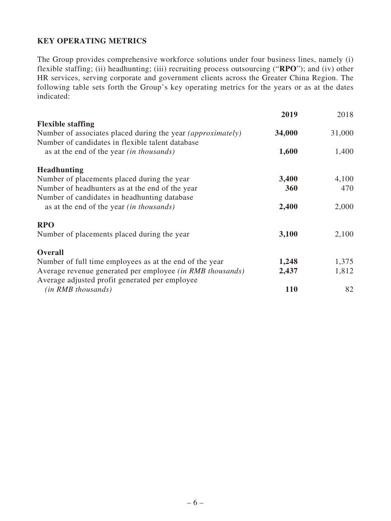## **KEY OPERATING METRICS**

The Group provides comprehensive workforce solutions under four business lines, namely (i) flexible staffing; (ii) headhunting; (iii) recruiting process outsourcing ("**RPO**"); and (iv) other HR services, serving corporate and government clients across the Greater China Region. The following table sets forth the Group's key operating metrics for the years or as at the dates indicated:

|                                                                    | 2019   | 2018   |
|--------------------------------------------------------------------|--------|--------|
| <b>Flexible staffing</b>                                           |        |        |
| Number of associates placed during the year <i>(approximately)</i> | 34,000 | 31,000 |
| Number of candidates in flexible talent database                   |        |        |
| as at the end of the year <i>(in thousands)</i>                    | 1,600  | 1,400  |
| <b>Headhunting</b>                                                 |        |        |
| Number of placements placed during the year                        | 3,400  | 4,100  |
| Number of headhunters as at the end of the year                    | 360    | 470    |
| Number of candidates in headhunting database                       |        |        |
| as at the end of the year <i>(in thousands)</i>                    | 2,400  | 2,000  |
| <b>RPO</b>                                                         |        |        |
| Number of placements placed during the year                        | 3,100  | 2,100  |
| <b>Overall</b>                                                     |        |        |
| Number of full time employees as at the end of the year            | 1,248  | 1,375  |
| Average revenue generated per employee (in RMB thousands)          | 2,437  | 1,812  |
| Average adjusted profit generated per employee                     |        |        |
| $(in RMB$ thousands)                                               | 110    | 82     |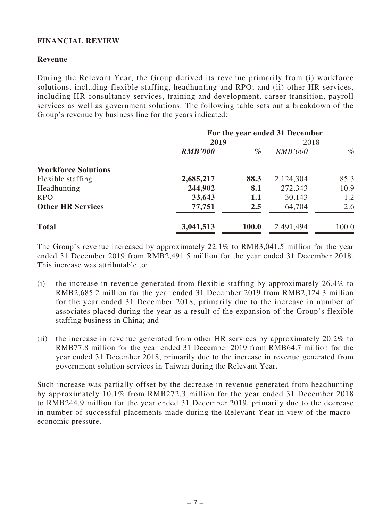## **FINANCIAL REVIEW**

#### **Revenue**

During the Relevant Year, the Group derived its revenue primarily from (i) workforce solutions, including flexible staffing, headhunting and RPO; and (ii) other HR services, including HR consultancy services, training and development, career transition, payroll services as well as government solutions. The following table sets out a breakdown of the Group's revenue by business line for the years indicated:

|                            |                |       | For the year ended 31 December |       |
|----------------------------|----------------|-------|--------------------------------|-------|
|                            | 2019           |       | 2018                           |       |
|                            | <b>RMB'000</b> | $\%$  | <i>RMB'000</i>                 | $\%$  |
| <b>Workforce Solutions</b> |                |       |                                |       |
| Flexible staffing          | 2,685,217      | 88.3  | 2,124,304                      | 85.3  |
| Headhunting                | 244,902        | 8.1   | 272,343                        | 10.9  |
| <b>RPO</b>                 | 33,643         | 1.1   | 30,143                         | 1.2   |
| <b>Other HR Services</b>   | 77,751         | 2.5   | 64,704                         | 2.6   |
| <b>Total</b>               | 3,041,513      | 100.0 | 2,491,494                      | 100.0 |

The Group's revenue increased by approximately 22.1% to RMB3,041.5 million for the year ended 31 December 2019 from RMB2,491.5 million for the year ended 31 December 2018. This increase was attributable to:

- (i) the increase in revenue generated from flexible staffing by approximately 26.4% to RMB2,685.2 million for the year ended 31 December 2019 from RMB2,124.3 million for the year ended 31 December 2018, primarily due to the increase in number of associates placed during the year as a result of the expansion of the Group's flexible staffing business in China; and
- (ii) the increase in revenue generated from other HR services by approximately 20.2% to RMB77.8 million for the year ended 31 December 2019 from RMB64.7 million for the year ended 31 December 2018, primarily due to the increase in revenue generated from government solution services in Taiwan during the Relevant Year.

Such increase was partially offset by the decrease in revenue generated from headhunting by approximately 10.1% from RMB272.3 million for the year ended 31 December 2018 to RMB244.9 million for the year ended 31 December 2019, primarily due to the decrease in number of successful placements made during the Relevant Year in view of the macroeconomic pressure.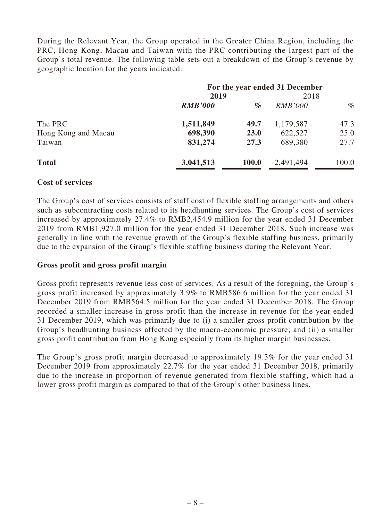During the Relevant Year, the Group operated in the Greater China Region, including the PRC, Hong Kong, Macau and Taiwan with the PRC contributing the largest part of the Group's total revenue. The following table sets out a breakdown of the Group's revenue by geographic location for the years indicated:

|                     |                |       | For the year ended 31 December |       |
|---------------------|----------------|-------|--------------------------------|-------|
|                     | 2019           |       | 2018                           |       |
|                     | <b>RMB'000</b> | $\%$  | <i>RMB'000</i>                 | $\%$  |
| The PRC             | 1,511,849      | 49.7  | 1,179,587                      | 47.3  |
| Hong Kong and Macau | 698,390        | 23.0  | 622,527                        | 25.0  |
| Taiwan              | 831,274        | 27.3  | 689,380                        | 27.7  |
| <b>Total</b>        | 3,041,513      | 100.0 | 2,491,494                      | 100.0 |

#### **Cost of services**

The Group's cost of services consists of staff cost of flexible staffing arrangements and others such as subcontracting costs related to its headhunting services. The Group's cost of services increased by approximately 27.4% to RMB2,454.9 million for the year ended 31 December 2019 from RMB1,927.0 million for the year ended 31 December 2018. Such increase was generally in line with the revenue growth of the Group's flexible staffing business, primarily due to the expansion of the Group's flexible staffing business during the Relevant Year.

#### **Gross profit and gross profit margin**

Gross profit represents revenue less cost of services. As a result of the foregoing, the Group's gross profit increased by approximately 3.9% to RMB586.6 million for the year ended 31 December 2019 from RMB564.5 million for the year ended 31 December 2018. The Group recorded a smaller increase in gross profit than the increase in revenue for the year ended 31 December 2019, which was primarily due to (i) a smaller gross profit contribution by the Group's headhunting business affected by the macro-economic pressure; and (ii) a smaller gross profit contribution from Hong Kong especially from its higher margin businesses.

The Group's gross profit margin decreased to approximately 19.3% for the year ended 31 December 2019 from approximately 22.7% for the year ended 31 December 2018, primarily due to the increase in proportion of revenue generated from flexible staffing, which had a lower gross profit margin as compared to that of the Group's other business lines.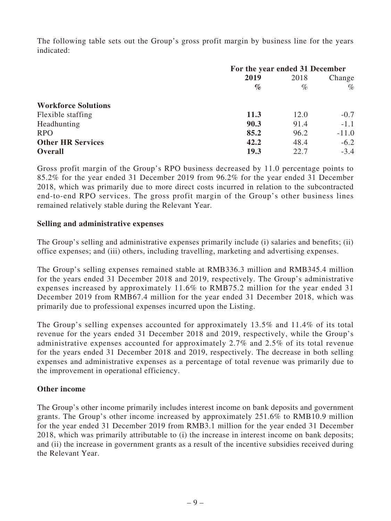The following table sets out the Group's gross profit margin by business line for the years indicated:

|                            | For the year ended 31 December |      |         |
|----------------------------|--------------------------------|------|---------|
|                            | 2019                           | 2018 | Change  |
|                            | $\%$                           | $\%$ | $\%$    |
| <b>Workforce Solutions</b> |                                |      |         |
| Flexible staffing          | <b>11.3</b>                    | 12.0 | $-0.7$  |
| Headhunting                | 90.3                           | 91.4 | $-1.1$  |
| <b>RPO</b>                 | 85.2                           | 96.2 | $-11.0$ |
| <b>Other HR Services</b>   | 42.2                           | 48.4 | $-6.2$  |
| <b>Overall</b>             | 19.3                           | 22.7 | $-3.4$  |

Gross profit margin of the Group's RPO business decreased by 11.0 percentage points to 85.2% for the year ended 31 December 2019 from 96.2% for the year ended 31 December 2018, which was primarily due to more direct costs incurred in relation to the subcontracted end-to-end RPO services. The gross profit margin of the Group's other business lines remained relatively stable during the Relevant Year.

#### **Selling and administrative expenses**

The Group's selling and administrative expenses primarily include (i) salaries and benefits; (ii) office expenses; and (iii) others, including travelling, marketing and advertising expenses.

The Group's selling expenses remained stable at RMB336.3 million and RMB345.4 million for the years ended 31 December 2018 and 2019, respectively. The Group's administrative expenses increased by approximately 11.6% to RMB75.2 million for the year ended 31 December 2019 from RMB67.4 million for the year ended 31 December 2018, which was primarily due to professional expenses incurred upon the Listing.

The Group's selling expenses accounted for approximately 13.5% and 11.4% of its total revenue for the years ended 31 December 2018 and 2019, respectively, while the Group's administrative expenses accounted for approximately 2.7% and 2.5% of its total revenue for the years ended 31 December 2018 and 2019, respectively. The decrease in both selling expenses and administrative expenses as a percentage of total revenue was primarily due to the improvement in operational efficiency.

#### **Other income**

The Group's other income primarily includes interest income on bank deposits and government grants. The Group's other income increased by approximately 251.6% to RMB10.9 million for the year ended 31 December 2019 from RMB3.1 million for the year ended 31 December 2018, which was primarily attributable to (i) the increase in interest income on bank deposits; and (ii) the increase in government grants as a result of the incentive subsidies received during the Relevant Year.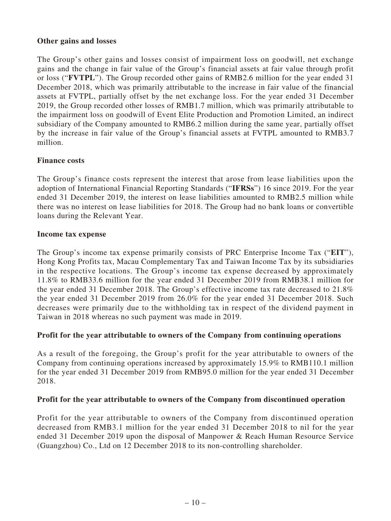#### **Other gains and losses**

The Group's other gains and losses consist of impairment loss on goodwill, net exchange gains and the change in fair value of the Group's financial assets at fair value through profit or loss ("**FVTPL**"). The Group recorded other gains of RMB2.6 million for the year ended 31 December 2018, which was primarily attributable to the increase in fair value of the financial assets at FVTPL, partially offset by the net exchange loss. For the year ended 31 December 2019, the Group recorded other losses of RMB1.7 million, which was primarily attributable to the impairment loss on goodwill of Event Elite Production and Promotion Limited, an indirect subsidiary of the Company amounted to RMB6.2 million during the same year, partially offset by the increase in fair value of the Group's financial assets at FVTPL amounted to RMB3.7 million.

#### **Finance costs**

The Group's finance costs represent the interest that arose from lease liabilities upon the adoption of International Financial Reporting Standards ("**IFRSs**") 16 since 2019. For the year ended 31 December 2019, the interest on lease liabilities amounted to RMB2.5 million while there was no interest on lease liabilities for 2018. The Group had no bank loans or convertible loans during the Relevant Year.

#### **Income tax expense**

The Group's income tax expense primarily consists of PRC Enterprise Income Tax ("**EIT**"), Hong Kong Profits tax, Macau Complementary Tax and Taiwan Income Tax by its subsidiaries in the respective locations. The Group's income tax expense decreased by approximately 11.8% to RMB33.6 million for the year ended 31 December 2019 from RMB38.1 million for the year ended 31 December 2018. The Group's effective income tax rate decreased to 21.8% the year ended 31 December 2019 from 26.0% for the year ended 31 December 2018. Such decreases were primarily due to the withholding tax in respect of the dividend payment in Taiwan in 2018 whereas no such payment was made in 2019.

## **Profit for the year attributable to owners of the Company from continuing operations**

As a result of the foregoing, the Group's profit for the year attributable to owners of the Company from continuing operations increased by approximately 15.9% to RMB110.1 million for the year ended 31 December 2019 from RMB95.0 million for the year ended 31 December 2018.

#### **Profit for the year attributable to owners of the Company from discontinued operation**

Profit for the year attributable to owners of the Company from discontinued operation decreased from RMB3.1 million for the year ended 31 December 2018 to nil for the year ended 31 December 2019 upon the disposal of Manpower & Reach Human Resource Service (Guangzhou) Co., Ltd on 12 December 2018 to its non-controlling shareholder.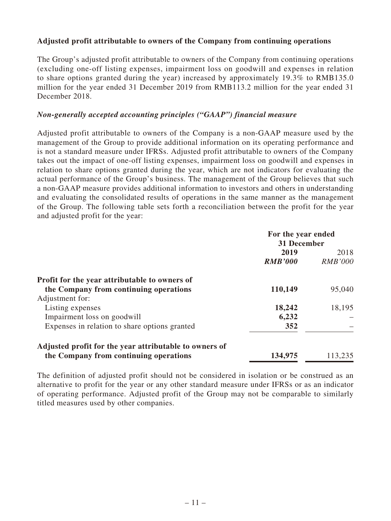## **Adjusted profit attributable to owners of the Company from continuing operations**

The Group's adjusted profit attributable to owners of the Company from continuing operations (excluding one-off listing expenses, impairment loss on goodwill and expenses in relation to share options granted during the year) increased by approximately 19.3% to RMB135.0 million for the year ended 31 December 2019 from RMB113.2 million for the year ended 31 December 2018.

#### *Non-generally accepted accounting principles ("GAAP") financial measure*

Adjusted profit attributable to owners of the Company is a non-GAAP measure used by the management of the Group to provide additional information on its operating performance and is not a standard measure under IFRSs. Adjusted profit attributable to owners of the Company takes out the impact of one-off listing expenses, impairment loss on goodwill and expenses in relation to share options granted during the year, which are not indicators for evaluating the actual performance of the Group's business. The management of the Group believes that such a non-GAAP measure provides additional information to investors and others in understanding and evaluating the consolidated results of operations in the same manner as the management of the Group. The following table sets forth a reconciliation between the profit for the year and adjusted profit for the year:

| For the year ended<br>31 December |                |
|-----------------------------------|----------------|
| 2019                              | 2018           |
|                                   | <b>RMB'000</b> |
|                                   |                |
| 110,149                           | 95,040         |
|                                   |                |
| 18,242                            | 18,195         |
| 6,232                             |                |
| 352                               |                |
|                                   |                |
| 134,975                           | 113,235        |
|                                   | <b>RMB'000</b> |

The definition of adjusted profit should not be considered in isolation or be construed as an alternative to profit for the year or any other standard measure under IFRSs or as an indicator of operating performance. Adjusted profit of the Group may not be comparable to similarly titled measures used by other companies.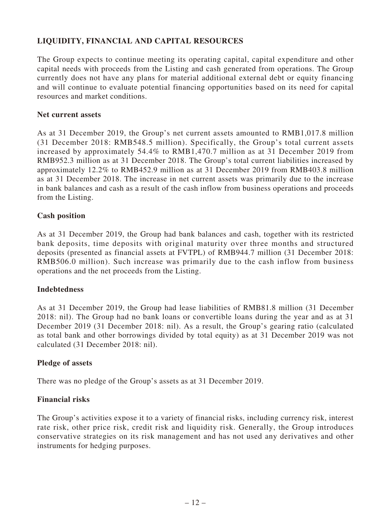## **LIQUIDITY, FINANCIAL AND CAPITAL RESOURCES**

The Group expects to continue meeting its operating capital, capital expenditure and other capital needs with proceeds from the Listing and cash generated from operations. The Group currently does not have any plans for material additional external debt or equity financing and will continue to evaluate potential financing opportunities based on its need for capital resources and market conditions.

#### **Net current assets**

As at 31 December 2019, the Group's net current assets amounted to RMB1,017.8 million (31 December 2018: RMB548.5 million). Specifically, the Group's total current assets increased by approximately 54.4% to RMB1,470.7 million as at 31 December 2019 from RMB952.3 million as at 31 December 2018. The Group's total current liabilities increased by approximately 12.2% to RMB452.9 million as at 31 December 2019 from RMB403.8 million as at 31 December 2018. The increase in net current assets was primarily due to the increase in bank balances and cash as a result of the cash inflow from business operations and proceeds from the Listing.

#### **Cash position**

As at 31 December 2019, the Group had bank balances and cash, together with its restricted bank deposits, time deposits with original maturity over three months and structured deposits (presented as financial assets at FVTPL) of RMB944.7 million (31 December 2018: RMB506.0 million). Such increase was primarily due to the cash inflow from business operations and the net proceeds from the Listing.

#### **Indebtedness**

As at 31 December 2019, the Group had lease liabilities of RMB81.8 million (31 December 2018: nil). The Group had no bank loans or convertible loans during the year and as at 31 December 2019 (31 December 2018: nil). As a result, the Group's gearing ratio (calculated as total bank and other borrowings divided by total equity) as at 31 December 2019 was not calculated (31 December 2018: nil).

#### **Pledge of assets**

There was no pledge of the Group's assets as at 31 December 2019.

#### **Financial risks**

The Group's activities expose it to a variety of financial risks, including currency risk, interest rate risk, other price risk, credit risk and liquidity risk. Generally, the Group introduces conservative strategies on its risk management and has not used any derivatives and other instruments for hedging purposes.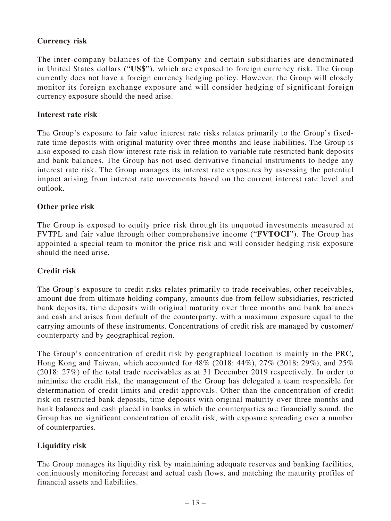## **Currency risk**

The inter-company balances of the Company and certain subsidiaries are denominated in United States dollars ("**US\$**"), which are exposed to foreign currency risk. The Group currently does not have a foreign currency hedging policy. However, the Group will closely monitor its foreign exchange exposure and will consider hedging of significant foreign currency exposure should the need arise.

#### **Interest rate risk**

The Group's exposure to fair value interest rate risks relates primarily to the Group's fixedrate time deposits with original maturity over three months and lease liabilities. The Group is also exposed to cash flow interest rate risk in relation to variable rate restricted bank deposits and bank balances. The Group has not used derivative financial instruments to hedge any interest rate risk. The Group manages its interest rate exposures by assessing the potential impact arising from interest rate movements based on the current interest rate level and outlook.

#### **Other price risk**

The Group is exposed to equity price risk through its unquoted investments measured at FVTPL and fair value through other comprehensive income ("**FVTOCI**"). The Group has appointed a special team to monitor the price risk and will consider hedging risk exposure should the need arise.

## **Credit risk**

The Group's exposure to credit risks relates primarily to trade receivables, other receivables, amount due from ultimate holding company, amounts due from fellow subsidiaries, restricted bank deposits, time deposits with original maturity over three months and bank balances and cash and arises from default of the counterparty, with a maximum exposure equal to the carrying amounts of these instruments. Concentrations of credit risk are managed by customer/ counterparty and by geographical region.

The Group's concentration of credit risk by geographical location is mainly in the PRC, Hong Kong and Taiwan, which accounted for 48% (2018: 44%), 27% (2018: 29%), and 25% (2018: 27%) of the total trade receivables as at 31 December 2019 respectively. In order to minimise the credit risk, the management of the Group has delegated a team responsible for determination of credit limits and credit approvals. Other than the concentration of credit risk on restricted bank deposits, time deposits with original maturity over three months and bank balances and cash placed in banks in which the counterparties are financially sound, the Group has no significant concentration of credit risk, with exposure spreading over a number of counterparties.

## **Liquidity risk**

The Group manages its liquidity risk by maintaining adequate reserves and banking facilities, continuously monitoring forecast and actual cash flows, and matching the maturity profiles of financial assets and liabilities.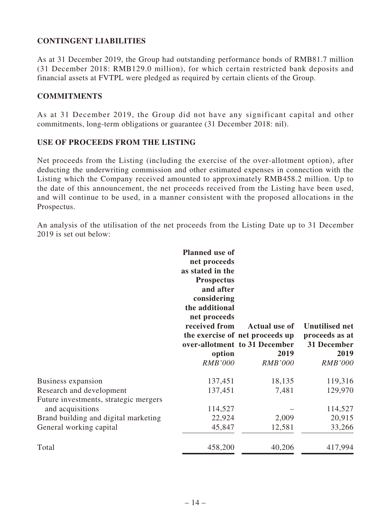## **CONTINGENT LIABILITIES**

As at 31 December 2019, the Group had outstanding performance bonds of RMB81.7 million (31 December 2018: RMB129.0 million), for which certain restricted bank deposits and financial assets at FVTPL were pledged as required by certain clients of the Group.

#### **COMMITMENTS**

As at 31 December 2019, the Group did not have any significant capital and other commitments, long-term obligations or guarantee (31 December 2018: nil).

#### **USE OF PROCEEDS FROM THE LISTING**

Net proceeds from the Listing (including the exercise of the over-allotment option), after deducting the underwriting commission and other estimated expenses in connection with the Listing which the Company received amounted to approximately RMB458.2 million. Up to the date of this announcement, the net proceeds received from the Listing have been used, and will continue to be used, in a manner consistent with the proposed allocations in the Prospectus.

An analysis of the utilisation of the net proceeds from the Listing Date up to 31 December 2019 is set out below:

|                                                                   | <b>Planned</b> use of<br>net proceeds<br>as stated in the<br><b>Prospectus</b><br>and after<br>considering<br>the additional<br>net proceeds<br>received from<br>option<br><b>RMB'000</b> | <b>Actual use of</b><br>the exercise of net proceeds up<br>over-allotment to 31 December<br>2019<br><b>RMB'000</b> | <b>Unutilised net</b><br>proceeds as at<br>31 December<br>2019<br><b>RMB'000</b> |
|-------------------------------------------------------------------|-------------------------------------------------------------------------------------------------------------------------------------------------------------------------------------------|--------------------------------------------------------------------------------------------------------------------|----------------------------------------------------------------------------------|
| <b>Business expansion</b>                                         | 137,451                                                                                                                                                                                   | 18,135                                                                                                             | 119,316                                                                          |
| Research and development<br>Future investments, strategic mergers | 137,451                                                                                                                                                                                   | 7,481                                                                                                              | 129,970                                                                          |
| and acquisitions                                                  | 114,527                                                                                                                                                                                   |                                                                                                                    | 114,527                                                                          |
| Brand building and digital marketing                              | 22,924                                                                                                                                                                                    | 2,009                                                                                                              | 20,915                                                                           |
| General working capital                                           | 45,847                                                                                                                                                                                    | 12,581                                                                                                             | 33,266                                                                           |
| Total                                                             | 458,200                                                                                                                                                                                   | 40,206                                                                                                             | 417,994                                                                          |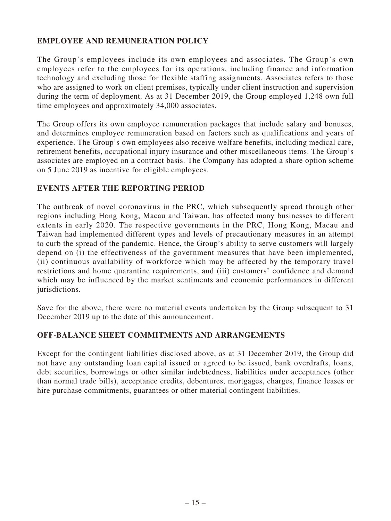## **EMPLOYEE AND REMUNERATION POLICY**

The Group's employees include its own employees and associates. The Group's own employees refer to the employees for its operations, including finance and information technology and excluding those for flexible staffing assignments. Associates refers to those who are assigned to work on client premises, typically under client instruction and supervision during the term of deployment. As at 31 December 2019, the Group employed 1,248 own full time employees and approximately 34,000 associates.

The Group offers its own employee remuneration packages that include salary and bonuses, and determines employee remuneration based on factors such as qualifications and years of experience. The Group's own employees also receive welfare benefits, including medical care, retirement benefits, occupational injury insurance and other miscellaneous items. The Group's associates are employed on a contract basis. The Company has adopted a share option scheme on 5 June 2019 as incentive for eligible employees.

#### **EVENTS AFTER THE REPORTING PERIOD**

The outbreak of novel coronavirus in the PRC, which subsequently spread through other regions including Hong Kong, Macau and Taiwan, has affected many businesses to different extents in early 2020. The respective governments in the PRC, Hong Kong, Macau and Taiwan had implemented different types and levels of precautionary measures in an attempt to curb the spread of the pandemic. Hence, the Group's ability to serve customers will largely depend on (i) the effectiveness of the government measures that have been implemented, (ii) continuous availability of workforce which may be affected by the temporary travel restrictions and home quarantine requirements, and (iii) customers' confidence and demand which may be influenced by the market sentiments and economic performances in different jurisdictions.

Save for the above, there were no material events undertaken by the Group subsequent to 31 December 2019 up to the date of this announcement.

## **OFF-BALANCE SHEET COMMITMENTS AND ARRANGEMENTS**

Except for the contingent liabilities disclosed above, as at 31 December 2019, the Group did not have any outstanding loan capital issued or agreed to be issued, bank overdrafts, loans, debt securities, borrowings or other similar indebtedness, liabilities under acceptances (other than normal trade bills), acceptance credits, debentures, mortgages, charges, finance leases or hire purchase commitments, guarantees or other material contingent liabilities.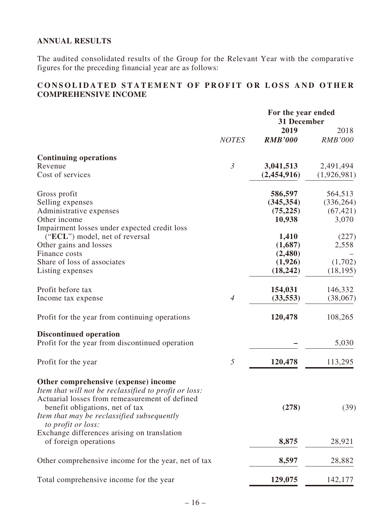## **ANNUAL RESULTS**

The audited consolidated results of the Group for the Relevant Year with the comparative figures for the preceding financial year are as follows:

## **CONSOLIDATED STATEMENT OF PROFIT OR LOSS AND OTHER COMPREHENSIVE INCOME**

|                                                                                               |                | For the year ended<br>31 December |                        |
|-----------------------------------------------------------------------------------------------|----------------|-----------------------------------|------------------------|
|                                                                                               | <b>NOTES</b>   | 2019<br><b>RMB'000</b>            | 2018<br><b>RMB'000</b> |
| <b>Continuing operations</b>                                                                  |                |                                   |                        |
| Revenue                                                                                       | $\mathfrak{Z}$ | 3,041,513                         | 2,491,494              |
| Cost of services                                                                              |                | (2,454,916)                       | (1,926,981)            |
| Gross profit                                                                                  |                | 586,597                           | 564,513                |
| Selling expenses                                                                              |                | (345, 354)                        | (336, 264)             |
| Administrative expenses                                                                       |                | (75, 225)                         | (67, 421)              |
| Other income                                                                                  |                | 10,938                            | 3,070                  |
| Impairment losses under expected credit loss                                                  |                |                                   |                        |
| ("ECL") model, net of reversal                                                                |                | 1,410                             | (227)                  |
| Other gains and losses                                                                        |                | (1,687)                           | 2,558                  |
| Finance costs                                                                                 |                | (2,480)                           |                        |
| Share of loss of associates                                                                   |                | (1,926)                           | (1,702)                |
| Listing expenses                                                                              |                | (18, 242)                         | (18, 195)              |
| Profit before tax                                                                             |                | 154,031                           | 146,332                |
| Income tax expense                                                                            | $\overline{4}$ | (33, 553)                         | (38,067)               |
| Profit for the year from continuing operations                                                |                | 120,478                           | 108,265                |
| <b>Discontinued operation</b>                                                                 |                |                                   |                        |
| Profit for the year from discontinued operation                                               |                |                                   | 5,030                  |
| Profit for the year                                                                           | $\sqrt{2}$     | 120,478                           | 113,295                |
| Other comprehensive (expense) income<br>Item that will not be reclassified to profit or loss: |                |                                   |                        |
| Actuarial losses from remeasurement of defined<br>benefit obligations, net of tax             |                | (278)                             | (39)                   |
| Item that may be reclassified subsequently<br>to profit or loss:                              |                |                                   |                        |
| Exchange differences arising on translation                                                   |                |                                   |                        |
| of foreign operations                                                                         |                | 8,875                             | 28,921                 |
| Other comprehensive income for the year, net of tax                                           |                | 8,597                             | 28,882                 |
| Total comprehensive income for the year                                                       |                | 129,075                           | 142,177                |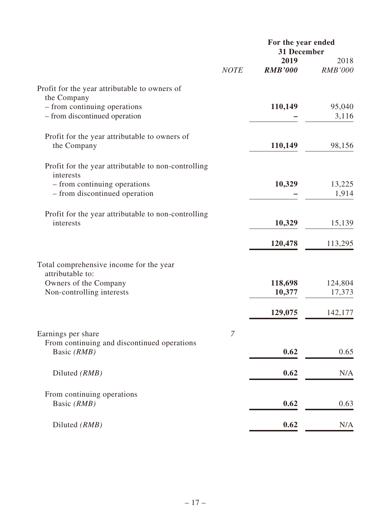|                                                                   | For the year ended |                     |                   |  |
|-------------------------------------------------------------------|--------------------|---------------------|-------------------|--|
|                                                                   |                    | 31 December<br>2019 | 2018              |  |
|                                                                   | <b>NOTE</b>        | <b>RMB'000</b>      | <b>RMB'000</b>    |  |
| Profit for the year attributable to owners of<br>the Company      |                    |                     |                   |  |
| - from continuing operations<br>- from discontinued operation     |                    | 110,149             | 95,040<br>3,116   |  |
| Profit for the year attributable to owners of<br>the Company      |                    | 110,149             | 98,156            |  |
| Profit for the year attributable to non-controlling<br>interests  |                    |                     |                   |  |
| - from continuing operations<br>- from discontinued operation     |                    | 10,329              | 13,225<br>1,914   |  |
| Profit for the year attributable to non-controlling<br>interests  |                    | 10,329              | 15,139            |  |
|                                                                   |                    | 120,478             | 113,295           |  |
| Total comprehensive income for the year<br>attributable to:       |                    |                     |                   |  |
| Owners of the Company<br>Non-controlling interests                |                    | 118,698<br>10,377   | 124,804<br>17,373 |  |
|                                                                   |                    | 129,075             | 142,177           |  |
| Earnings per share<br>From continuing and discontinued operations | 7                  |                     |                   |  |
| Basic (RMB)                                                       |                    | 0.62                | 0.65              |  |
| Diluted (RMB)                                                     |                    | 0.62                | N/A               |  |
| From continuing operations<br>Basic (RMB)                         |                    | 0.62                | 0.63              |  |
| Diluted (RMB)                                                     |                    | 0.62                | N/A               |  |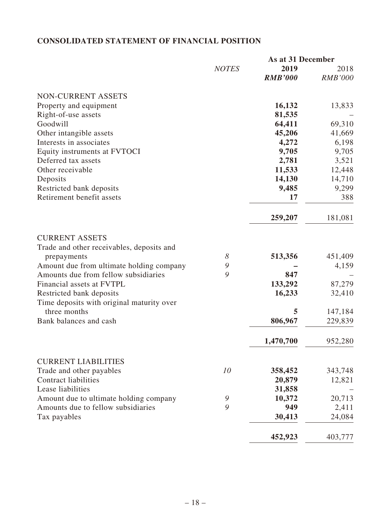## **CONSOLIDATED STATEMENT OF FINANCIAL POSITION**

|                                                                                  |              | As at 31 December |                |
|----------------------------------------------------------------------------------|--------------|-------------------|----------------|
|                                                                                  | <b>NOTES</b> | 2019              | 2018           |
|                                                                                  |              | <b>RMB'000</b>    | <b>RMB'000</b> |
| NON-CURRENT ASSETS                                                               |              |                   |                |
| Property and equipment                                                           |              | 16,132            | 13,833         |
| Right-of-use assets                                                              |              | 81,535            |                |
| Goodwill                                                                         |              | 64,411            | 69,310         |
| Other intangible assets                                                          |              | 45,206            | 41,669         |
| Interests in associates                                                          |              | 4,272             | 6,198          |
| Equity instruments at FVTOCI                                                     |              | 9,705             | 9,705          |
| Deferred tax assets                                                              |              | 2,781             | 3,521          |
| Other receivable                                                                 |              | 11,533            | 12,448         |
| Deposits                                                                         |              | 14,130            | 14,710         |
| Restricted bank deposits                                                         |              | 9,485             | 9,299          |
| Retirement benefit assets                                                        |              | 17                | 388            |
|                                                                                  |              | 259,207           | 181,081        |
| <b>CURRENT ASSETS</b>                                                            |              |                   |                |
| Trade and other receivables, deposits and                                        | 8            |                   |                |
| prepayments                                                                      | 9            | 513,356           | 451,409        |
| Amount due from ultimate holding company<br>Amounts due from fellow subsidiaries | 9            | 847               | 4,159          |
| Financial assets at FVTPL                                                        |              | 133,292           | 87,279         |
| Restricted bank deposits                                                         |              | 16,233            | 32,410         |
| Time deposits with original maturity over                                        |              |                   |                |
| three months                                                                     |              | 5                 | 147,184        |
| Bank balances and cash                                                           |              | 806,967           | 229,839        |
|                                                                                  |              | 1,470,700         | 952,280        |
| <b>CURRENT LIABILITIES</b>                                                       |              |                   |                |
| Trade and other payables                                                         | 10           | 358,452           | 343,748        |
| <b>Contract liabilities</b>                                                      |              | 20,879            | 12,821         |
| Lease liabilities                                                                |              | 31,858            |                |
| Amount due to ultimate holding company                                           | 9            | 10,372            | 20,713         |
| Amounts due to fellow subsidiaries                                               | 9            | 949               | 2,411          |
| Tax payables                                                                     |              | 30,413            | 24,084         |
|                                                                                  |              | 452,923           | 403,777        |
|                                                                                  |              |                   |                |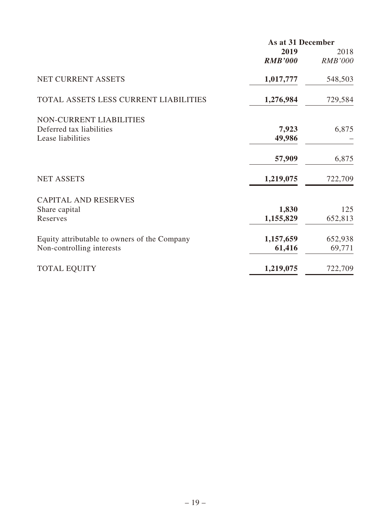|                                              | As at 31 December |                |
|----------------------------------------------|-------------------|----------------|
|                                              | 2019              | 2018           |
|                                              | <b>RMB'000</b>    | <b>RMB'000</b> |
| NET CURRENT ASSETS                           | 1,017,777         | 548,503        |
| TOTAL ASSETS LESS CURRENT LIABILITIES        | 1,276,984         | 729,584        |
| <b>NON-CURRENT LIABILITIES</b>               |                   |                |
| Deferred tax liabilities                     | 7,923             | 6,875          |
| Lease liabilities                            | 49,986            |                |
|                                              | 57,909            | 6,875          |
| <b>NET ASSETS</b>                            | 1,219,075         | 722,709        |
| <b>CAPITAL AND RESERVES</b>                  |                   |                |
| Share capital                                | 1,830             | 125            |
| Reserves                                     | 1,155,829         | 652,813        |
| Equity attributable to owners of the Company | 1,157,659         | 652,938        |
| Non-controlling interests                    | 61,416            | 69,771         |
| <b>TOTAL EQUITY</b>                          | 1,219,075         | 722,709        |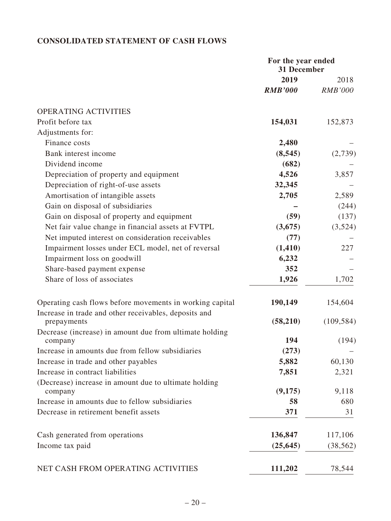## **CONSOLIDATED STATEMENT OF CASH FLOWS**

|                                                                  | For the year ended<br>31 December |                |
|------------------------------------------------------------------|-----------------------------------|----------------|
|                                                                  | 2019                              | 2018           |
|                                                                  | <b>RMB'000</b>                    | <b>RMB'000</b> |
| OPERATING ACTIVITIES                                             |                                   |                |
| Profit before tax                                                | 154,031                           | 152,873        |
| Adjustments for:                                                 |                                   |                |
| Finance costs                                                    | 2,480                             |                |
| Bank interest income                                             | (8, 545)                          | (2,739)        |
| Dividend income                                                  | (682)                             |                |
| Depreciation of property and equipment                           | 4,526                             | 3,857          |
| Depreciation of right-of-use assets                              | 32,345                            |                |
| Amortisation of intangible assets                                | 2,705                             | 2,589          |
| Gain on disposal of subsidiaries                                 |                                   | (244)          |
| Gain on disposal of property and equipment                       | (59)                              | (137)          |
| Net fair value change in financial assets at FVTPL               | (3,675)                           | (3,524)        |
| Net imputed interest on consideration receivables                | (77)                              |                |
| Impairment losses under ECL model, net of reversal               | (1, 410)                          | 227            |
| Impairment loss on goodwill                                      | 6,232                             |                |
| Share-based payment expense                                      | 352                               |                |
| Share of loss of associates                                      | 1,926                             | 1,702          |
| Operating cash flows before movements in working capital         | 190,149                           | 154,604        |
| Increase in trade and other receivables, deposits and            |                                   |                |
| prepayments                                                      | (58,210)                          | (109, 584)     |
| Decrease (increase) in amount due from ultimate holding          | 194                               | (194)          |
| company<br>Increase in amounts due from fellow subsidiaries      |                                   |                |
| Increase in trade and other payables                             | (273)<br>5,882                    | 60,130         |
| Increase in contract liabilities                                 | 7,851                             |                |
|                                                                  |                                   | 2,321          |
| (Decrease) increase in amount due to ultimate holding<br>company | (9,175)                           | 9,118          |
| Increase in amounts due to fellow subsidiaries                   | 58                                | 680            |
| Decrease in retirement benefit assets                            | 371                               | 31             |
|                                                                  |                                   |                |
| Cash generated from operations                                   | 136,847                           | 117,106        |
| Income tax paid                                                  | (25, 645)                         | (38, 562)      |
| NET CASH FROM OPERATING ACTIVITIES                               | 111,202                           | 78,544         |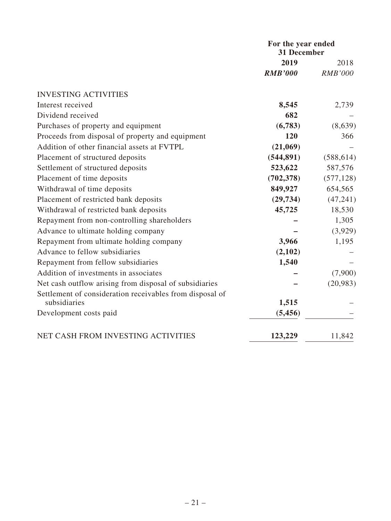|                                                          | For the year ended<br>31 December |                |
|----------------------------------------------------------|-----------------------------------|----------------|
|                                                          | 2019                              | 2018           |
|                                                          | <b>RMB'000</b>                    | <b>RMB'000</b> |
| <b>INVESTING ACTIVITIES</b>                              |                                   |                |
| Interest received                                        | 8,545                             | 2,739          |
| Dividend received                                        | 682                               |                |
| Purchases of property and equipment                      | (6,783)                           | (8,639)        |
| Proceeds from disposal of property and equipment         | 120                               | 366            |
| Addition of other financial assets at FVTPL              | (21,069)                          |                |
| Placement of structured deposits                         | (544, 891)                        | (588, 614)     |
| Settlement of structured deposits                        | 523,622                           | 587,576        |
| Placement of time deposits                               | (702, 378)                        | (577, 128)     |
| Withdrawal of time deposits                              | 849,927                           | 654,565        |
| Placement of restricted bank deposits                    | (29, 734)                         | (47, 241)      |
| Withdrawal of restricted bank deposits                   | 45,725                            | 18,530         |
| Repayment from non-controlling shareholders              |                                   | 1,305          |
| Advance to ultimate holding company                      |                                   | (3,929)        |
| Repayment from ultimate holding company                  | 3,966                             | 1,195          |
| Advance to fellow subsidiaries                           | (2,102)                           |                |
| Repayment from fellow subsidiaries                       | 1,540                             |                |
| Addition of investments in associates                    |                                   | (7,900)        |
| Net cash outflow arising from disposal of subsidiaries   |                                   | (20, 983)      |
| Settlement of consideration receivables from disposal of |                                   |                |
| subsidiaries                                             | 1,515                             |                |
| Development costs paid                                   | (5,456)                           |                |
| NET CASH FROM INVESTING ACTIVITIES                       | 123,229                           | 11,842         |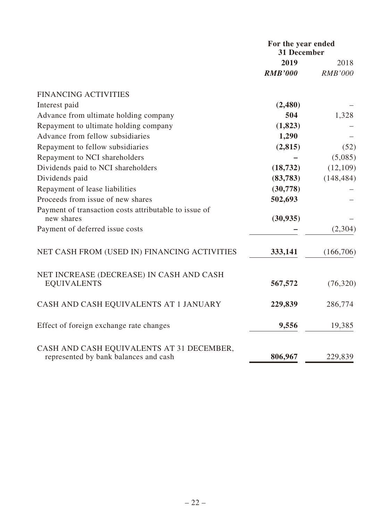|                                                                                    | For the year ended<br><b>31 December</b> |                |
|------------------------------------------------------------------------------------|------------------------------------------|----------------|
|                                                                                    | 2019                                     | 2018           |
|                                                                                    | <b>RMB'000</b>                           | <b>RMB'000</b> |
| <b>FINANCING ACTIVITIES</b>                                                        |                                          |                |
| Interest paid                                                                      | (2,480)                                  |                |
| Advance from ultimate holding company                                              | 504                                      | 1,328          |
| Repayment to ultimate holding company                                              | (1,823)                                  |                |
| Advance from fellow subsidiaries                                                   | 1,290                                    |                |
| Repayment to fellow subsidiaries                                                   | (2,815)                                  | (52)           |
| Repayment to NCI shareholders                                                      |                                          | (5,085)        |
| Dividends paid to NCI shareholders                                                 | (18, 732)                                | (12, 109)      |
| Dividends paid                                                                     | (83, 783)                                | (148, 484)     |
| Repayment of lease liabilities                                                     | (30,778)                                 |                |
| Proceeds from issue of new shares                                                  | 502,693                                  |                |
| Payment of transaction costs attributable to issue of<br>new shares                | (30, 935)                                |                |
| Payment of deferred issue costs                                                    |                                          | (2,304)        |
| NET CASH FROM (USED IN) FINANCING ACTIVITIES                                       | 333,141                                  | (166,706)      |
| NET INCREASE (DECREASE) IN CASH AND CASH<br><b>EQUIVALENTS</b>                     | 567,572                                  | (76, 320)      |
| CASH AND CASH EQUIVALENTS AT 1 JANUARY                                             | 229,839                                  | 286,774        |
| Effect of foreign exchange rate changes                                            | 9,556                                    | 19,385         |
| CASH AND CASH EQUIVALENTS AT 31 DECEMBER,<br>represented by bank balances and cash | 806,967                                  | 229,839        |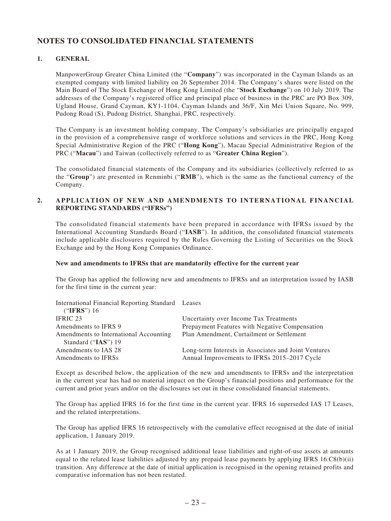## **NOTES TO CONSOLIDATED FINANCIAL STATEMENTS**

#### **1. GENERAL**

ManpowerGroup Greater China Limited (the "**Company**") was incorporated in the Cayman Islands as an exempted company with limited liability on 26 September 2014. The Company's shares were listed on the Main Board of The Stock Exchange of Hong Kong Limited (the "**Stock Exchange**") on 10 July 2019. The addresses of the Company's registered office and principal place of business in the PRC are PO Box 309, Ugland House, Grand Cayman, KY1-1104, Cayman Islands and 36/F, Xin Mei Union Square, No. 999, Pudong Road (S), Pudong District, Shanghai, PRC, respectively.

The Company is an investment holding company. The Company's subsidiaries are principally engaged in the provision of a comprehensive range of workforce solutions and services in the PRC, Hong Kong Special Administrative Region of the PRC ("**Hong Kong**"), Macau Special Administrative Region of the PRC ("**Macau**") and Taiwan (collectively referred to as "**Greater China Region**").

The consolidated financial statements of the Company and its subsidiaries (collectively referred to as the "**Group**") are presented in Renminbi ("**RMB**"), which is the same as the functional currency of the Company.

#### **2. APPLICATION OF NEW AND AMENDMENTS TO INTERNATIONAL FINANCIAL REPORTING STANDARDS ("IFRSs")**

The consolidated financial statements have been prepared in accordance with IFRSs issued by the International Accounting Standards Board ("**IASB**"). In addition, the consolidated financial statements include applicable disclosures required by the Rules Governing the Listing of Securities on the Stock Exchange and by the Hong Kong Companies Ordinance.

#### **New and amendments to IFRSs that are mandatorily effective for the current year**

The Group has applied the following new and amendments to IFRSs and an interpretation issued by IASB for the first time in the current year:

| International Financial Reporting Standard Leases |                                                      |
|---------------------------------------------------|------------------------------------------------------|
| ("IFRS") $16$                                     |                                                      |
| IFRIC 23                                          | Uncertainty over Income Tax Treatments               |
| Amendments to IFRS 9                              | Prepayment Features with Negative Compensation       |
| Amendments to International Accounting            | Plan Amendment, Curtailment or Settlement            |
| Standard ("IAS") 19                               |                                                      |
| Amendments to IAS 28                              | Long-term Interests in Associates and Joint Ventures |
| Amendments to IFRSs                               | Annual Improvements to IFRSs 2015–2017 Cycle         |

Except as described below, the application of the new and amendments to IFRSs and the interpretation in the current year has had no material impact on the Group's financial positions and performance for the current and prior years and/or on the disclosures set out in these consolidated financial statements.

The Group has applied IFRS 16 for the first time in the current year. IFRS 16 superseded IAS 17 Leases, and the related interpretations.

The Group has applied IFRS 16 retrospectively with the cumulative effect recognised at the date of initial application, 1 January 2019.

As at 1 January 2019, the Group recognised additional lease liabilities and right-of-use assets at amounts equal to the related lease liabilities adjusted by any prepaid lease payments by applying IFRS 16.C8(b)(ii) transition. Any difference at the date of initial application is recognised in the opening retained profits and comparative information has not been restated.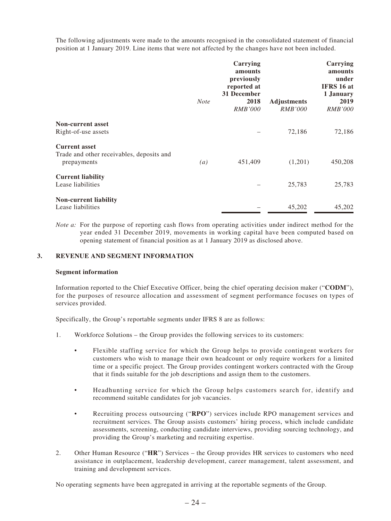The following adjustments were made to the amounts recognised in the consolidated statement of financial position at 1 January 2019. Line items that were not affected by the changes have not been included.

|                                                          | <b>Note</b> | Carrying<br>amounts<br>previously<br>reported at<br>31 December<br>2018<br><b>RMB'000</b> | <b>Adjustments</b><br><i>RMB'000</i> | Carrying<br>amounts<br>under<br>IFRS 16 at<br>1 January<br>2019<br><i>RMB'000</i> |
|----------------------------------------------------------|-------------|-------------------------------------------------------------------------------------------|--------------------------------------|-----------------------------------------------------------------------------------|
| <b>Non-current asset</b>                                 |             |                                                                                           |                                      |                                                                                   |
| Right-of-use assets                                      |             |                                                                                           | 72,186                               | 72,186                                                                            |
| <b>Current asset</b>                                     |             |                                                                                           |                                      |                                                                                   |
| Trade and other receivables, deposits and<br>prepayments | (a)         | 451,409                                                                                   | (1,201)                              | 450,208                                                                           |
| <b>Current liability</b><br>Lease liabilities            |             |                                                                                           | 25,783                               | 25,783                                                                            |
| <b>Non-current liability</b><br>Lease liabilities        |             |                                                                                           | 45,202                               | 45,202                                                                            |

*Note a:* For the purpose of reporting cash flows from operating activities under indirect method for the year ended 31 December 2019, movements in working capital have been computed based on opening statement of financial position as at 1 January 2019 as disclosed above.

#### **3. REVENUE AND SEGMENT INFORMATION**

#### **Segment information**

Information reported to the Chief Executive Officer, being the chief operating decision maker ("**CODM**"), for the purposes of resource allocation and assessment of segment performance focuses on types of services provided.

Specifically, the Group's reportable segments under IFRS 8 are as follows:

- 1. Workforce Solutions the Group provides the following services to its customers:
	- Flexible staffing service for which the Group helps to provide contingent workers for customers who wish to manage their own headcount or only require workers for a limited time or a specific project. The Group provides contingent workers contracted with the Group that it finds suitable for the job descriptions and assign them to the customers.
	- Headhunting service for which the Group helps customers search for, identify and recommend suitable candidates for job vacancies.
	- Recruiting process outsourcing ("**RPO**") services include RPO management services and recruitment services. The Group assists customers' hiring process, which include candidate assessments, screening, conducting candidate interviews, providing sourcing technology, and providing the Group's marketing and recruiting expertise.
- 2. Other Human Resource ("**HR**") Services the Group provides HR services to customers who need assistance in outplacement, leadership development, career management, talent assessment, and training and development services.

No operating segments have been aggregated in arriving at the reportable segments of the Group.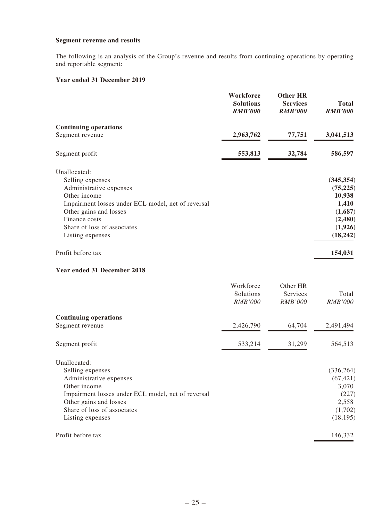#### **Segment revenue and results**

The following is an analysis of the Group's revenue and results from continuing operations by operating and reportable segment:

#### **Year ended 31 December 2019**

|                                                                                                                                                                                                                                 | Workforce<br><b>Solutions</b><br><b>RMB'000</b> | <b>Other HR</b><br><b>Services</b><br><b>RMB'000</b> | <b>Total</b><br><b>RMB'000</b>                                                           |
|---------------------------------------------------------------------------------------------------------------------------------------------------------------------------------------------------------------------------------|-------------------------------------------------|------------------------------------------------------|------------------------------------------------------------------------------------------|
| <b>Continuing operations</b>                                                                                                                                                                                                    |                                                 |                                                      |                                                                                          |
| Segment revenue                                                                                                                                                                                                                 | 2,963,762                                       | 77,751                                               | 3,041,513                                                                                |
| Segment profit                                                                                                                                                                                                                  | 553,813                                         | 32,784                                               | 586,597                                                                                  |
| Unallocated:<br>Selling expenses<br>Administrative expenses<br>Other income<br>Impairment losses under ECL model, net of reversal<br>Other gains and losses<br>Finance costs<br>Share of loss of associates<br>Listing expenses |                                                 |                                                      | (345, 354)<br>(75, 225)<br>10,938<br>1,410<br>(1,687)<br>(2,480)<br>(1,926)<br>(18, 242) |
| Profit before tax                                                                                                                                                                                                               |                                                 |                                                      | 154,031                                                                                  |
| <b>Year ended 31 December 2018</b>                                                                                                                                                                                              |                                                 |                                                      |                                                                                          |
|                                                                                                                                                                                                                                 | Workforce<br>Solutions<br><b>RMB'000</b>        | Other HR<br>Services<br><b>RMB'000</b>               | Total<br><b>RMB'000</b>                                                                  |
| <b>Continuing operations</b>                                                                                                                                                                                                    |                                                 |                                                      |                                                                                          |
| Segment revenue                                                                                                                                                                                                                 | 2,426,790                                       | 64,704                                               | 2,491,494                                                                                |
| Segment profit                                                                                                                                                                                                                  | 533,214                                         | 31,299                                               | 564,513                                                                                  |
| Unallocated:<br>Selling expenses<br>Administrative expenses<br>Other income<br>Impairment losses under ECL model, net of reversal<br>Other gains and losses<br>Share of loss of associates<br>Listing expenses                  |                                                 |                                                      | (336, 264)<br>(67, 421)<br>3,070<br>(227)<br>2,558<br>(1,702)<br>(18, 195)               |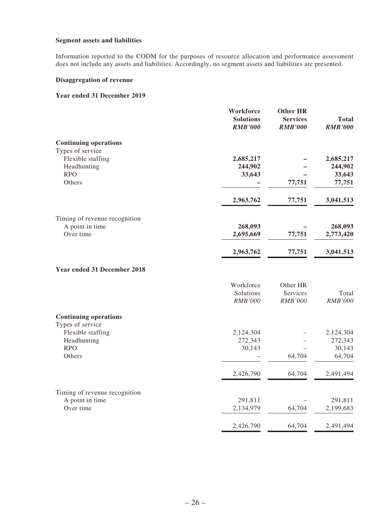#### **Segment assets and liabilities**

Information reported to the CODM for the purposes of resource allocation and performance assessment does not include any assets and liabilities. Accordingly, no segment assets and liabilities are presented.

#### **Disaggregation of revenue**

#### **Year ended 31 December 2019**

|                                                  | Workforce<br><b>Solutions</b><br><b>RMB'000</b> | <b>Other HR</b><br><b>Services</b><br><b>RMB'000</b> | <b>Total</b><br><b>RMB'000</b> |
|--------------------------------------------------|-------------------------------------------------|------------------------------------------------------|--------------------------------|
| <b>Continuing operations</b>                     |                                                 |                                                      |                                |
| Types of service                                 |                                                 |                                                      |                                |
| Flexible staffing<br>Headhunting                 | 2,685,217<br>244,902                            |                                                      | 2,685,217<br>244,902           |
| <b>RPO</b>                                       | 33,643                                          |                                                      | 33,643                         |
| Others                                           |                                                 | 77,751                                               | 77,751                         |
|                                                  | 2,963,762                                       | 77,751                                               | 3,041,513                      |
| Timing of revenue recognition                    |                                                 |                                                      |                                |
| A point in time                                  | 268,093                                         |                                                      | 268,093                        |
| Over time                                        | 2,695,669                                       | 77,751                                               | 2,773,420                      |
|                                                  | 2,963,762                                       | 77,751                                               | 3,041,513                      |
| Year ended 31 December 2018                      |                                                 |                                                      |                                |
|                                                  | Workforce                                       | Other HR                                             |                                |
|                                                  | Solutions                                       | Services                                             | Total                          |
|                                                  | RMB'000                                         | <b>RMB'000</b>                                       | <b>RMB'000</b>                 |
| <b>Continuing operations</b><br>Types of service |                                                 |                                                      |                                |
| Flexible staffing                                | 2,124,304                                       |                                                      | 2,124,304                      |
| Headhunting                                      | 272,343                                         |                                                      | 272,343                        |
| <b>RPO</b><br>Others                             | 30,143                                          | 64,704                                               | 30,143<br>64,704               |
|                                                  |                                                 |                                                      |                                |
|                                                  | 2,426,790                                       | 64,704                                               | 2,491,494                      |
| Timing of revenue recognition                    |                                                 |                                                      |                                |
| A point in time                                  | 291,811                                         |                                                      | 291,811                        |
| Over time                                        | 2,134,979                                       | 64,704                                               | 2,199,683                      |
|                                                  | 2,426,790                                       | 64,704                                               | 2,491,494                      |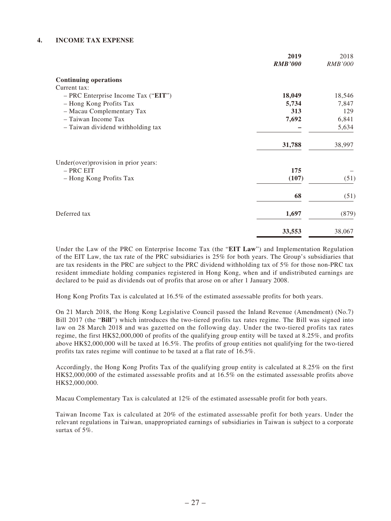#### **4. INCOME TAX EXPENSE**

|                                       | 2019           | 2018           |
|---------------------------------------|----------------|----------------|
|                                       | <b>RMB'000</b> | <b>RMB'000</b> |
| <b>Continuing operations</b>          |                |                |
| Current tax:                          |                |                |
| - PRC Enterprise Income Tax ("EIT")   | 18,049         | 18,546         |
| - Hong Kong Profits Tax               | 5,734          | 7,847          |
| - Macau Complementary Tax             | 313            | 129            |
| - Taiwan Income Tax                   | 7,692          | 6,841          |
| - Taiwan dividend withholding tax     |                | 5,634          |
|                                       | 31,788         | 38,997         |
| Under(over) provision in prior years: |                |                |
| $-$ PRC EIT                           | 175            |                |
| - Hong Kong Profits Tax               | (107)          | (51)           |
|                                       | 68             | (51)           |
| Deferred tax                          | 1,697          | (879)          |
|                                       | 33,553         | 38,067         |

Under the Law of the PRC on Enterprise Income Tax (the "**EIT Law**") and Implementation Regulation of the EIT Law, the tax rate of the PRC subsidiaries is 25% for both years. The Group's subsidiaries that are tax residents in the PRC are subject to the PRC dividend withholding tax of 5% for those non-PRC tax resident immediate holding companies registered in Hong Kong, when and if undistributed earnings are declared to be paid as dividends out of profits that arose on or after 1 January 2008.

Hong Kong Profits Tax is calculated at 16.5% of the estimated assessable profits for both years.

On 21 March 2018, the Hong Kong Legislative Council passed the Inland Revenue (Amendment) (No.7) Bill 2017 (the "**Bill**") which introduces the two-tiered profits tax rates regime. The Bill was signed into law on 28 March 2018 and was gazetted on the following day. Under the two-tiered profits tax rates regime, the first HK\$2,000,000 of profits of the qualifying group entity will be taxed at 8.25%, and profits above HK\$2,000,000 will be taxed at 16.5%. The profits of group entities not qualifying for the two-tiered profits tax rates regime will continue to be taxed at a flat rate of 16.5%.

Accordingly, the Hong Kong Profits Tax of the qualifying group entity is calculated at 8.25% on the first HK\$2,000,000 of the estimated assessable profits and at 16.5% on the estimated assessable profits above HK\$2,000,000.

Macau Complementary Tax is calculated at 12% of the estimated assessable profit for both years.

Taiwan Income Tax is calculated at 20% of the estimated assessable profit for both years. Under the relevant regulations in Taiwan, unappropriated earnings of subsidiaries in Taiwan is subject to a corporate surtax of 5%.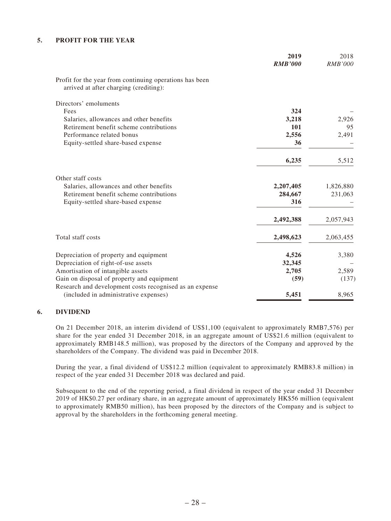#### **5. PROFIT FOR THE YEAR**

|                                                                                                   | 2019<br><b>RMB'000</b> | 2018<br><b>RMB'000</b> |
|---------------------------------------------------------------------------------------------------|------------------------|------------------------|
| Profit for the year from continuing operations has been<br>arrived at after charging (crediting): |                        |                        |
| Directors' emoluments                                                                             |                        |                        |
| Fees                                                                                              | 324                    |                        |
| Salaries, allowances and other benefits                                                           | 3,218                  | 2,926                  |
| Retirement benefit scheme contributions                                                           | 101                    | 95                     |
| Performance related bonus                                                                         | 2,556                  | 2,491                  |
| Equity-settled share-based expense                                                                | 36                     |                        |
|                                                                                                   | 6,235                  | 5,512                  |
| Other staff costs                                                                                 |                        |                        |
| Salaries, allowances and other benefits                                                           | 2,207,405              | 1,826,880              |
| Retirement benefit scheme contributions                                                           | 284,667                | 231,063                |
| Equity-settled share-based expense                                                                | 316                    |                        |
|                                                                                                   | 2,492,388              | 2,057,943              |
| Total staff costs                                                                                 | 2,498,623              | 2,063,455              |
| Depreciation of property and equipment                                                            | 4,526                  | 3,380                  |
| Depreciation of right-of-use assets                                                               | 32,345                 |                        |
| Amortisation of intangible assets                                                                 | 2,705                  | 2,589                  |
| Gain on disposal of property and equipment                                                        | (59)                   | (137)                  |
| Research and development costs recognised as an expense                                           |                        |                        |
| (included in administrative expenses)                                                             | 5,451                  | 8,965                  |

#### **6. DIVIDEND**

On 21 December 2018, an interim dividend of US\$1,100 (equivalent to approximately RMB7,576) per share for the year ended 31 December 2018, in an aggregate amount of US\$21.6 million (equivalent to approximately RMB148.5 million), was proposed by the directors of the Company and approved by the shareholders of the Company. The dividend was paid in December 2018.

During the year, a final dividend of US\$12.2 million (equivalent to approximately RMB83.8 million) in respect of the year ended 31 December 2018 was declared and paid.

Subsequent to the end of the reporting period, a final dividend in respect of the year ended 31 December 2019 of HK\$0.27 per ordinary share, in an aggregate amount of approximately HK\$56 million (equivalent to approximately RMB50 million), has been proposed by the directors of the Company and is subject to approval by the shareholders in the forthcoming general meeting.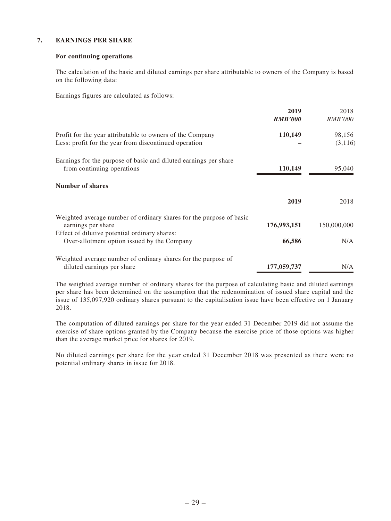#### **7. EARNINGS PER SHARE**

#### **For continuing operations**

The calculation of the basic and diluted earnings per share attributable to owners of the Company is based on the following data:

Earnings figures are calculated as follows:

|                                                                     | 2019           | 2018           |
|---------------------------------------------------------------------|----------------|----------------|
|                                                                     | <b>RMB'000</b> | <i>RMB'000</i> |
| Profit for the year attributable to owners of the Company           | 110,149        | 98,156         |
| Less: profit for the year from discontinued operation               |                | (3, 116)       |
| Earnings for the purpose of basic and diluted earnings per share    |                |                |
| from continuing operations                                          | 110,149        | 95,040         |
| <b>Number of shares</b>                                             |                |                |
|                                                                     | 2019           | 2018           |
| Weighted average number of ordinary shares for the purpose of basic |                |                |
| earnings per share                                                  | 176,993,151    | 150,000,000    |
| Effect of dilutive potential ordinary shares:                       |                |                |
| Over-allotment option issued by the Company                         | 66,586         | N/A            |
| Weighted average number of ordinary shares for the purpose of       |                |                |
| diluted earnings per share                                          | 177,059,737    | N/A            |

The weighted average number of ordinary shares for the purpose of calculating basic and diluted earnings per share has been determined on the assumption that the redenomination of issued share capital and the issue of 135,097,920 ordinary shares pursuant to the capitalisation issue have been effective on 1 January 2018.

The computation of diluted earnings per share for the year ended 31 December 2019 did not assume the exercise of share options granted by the Company because the exercise price of those options was higher than the average market price for shares for 2019.

No diluted earnings per share for the year ended 31 December 2018 was presented as there were no potential ordinary shares in issue for 2018.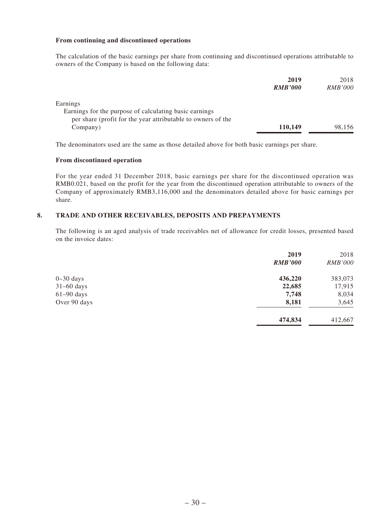#### **From continuing and discontinued operations**

The calculation of the basic earnings per share from continuing and discontinued operations attributable to owners of the Company is based on the following data:

|                                                              | 2019           | 2018           |
|--------------------------------------------------------------|----------------|----------------|
|                                                              | <b>RMB'000</b> | <i>RMB'000</i> |
| Earnings                                                     |                |                |
| Earnings for the purpose of calculating basic earnings       |                |                |
| per share (profit for the year attributable to owners of the |                |                |
| Company)                                                     | 110,149        | 98,156         |

The denominators used are the same as those detailed above for both basic earnings per share.

#### **From discontinued operation**

For the year ended 31 December 2018, basic earnings per share for the discontinued operation was RMB0.021, based on the profit for the year from the discontinued operation attributable to owners of the Company of approximately RMB3,116,000 and the denominators detailed above for basic earnings per share.

#### **8. TRADE AND OTHER RECEIVABLES, DEPOSITS AND PREPAYMENTS**

The following is an aged analysis of trade receivables net of allowance for credit losses, presented based on the invoice dates:

|              | 2019           | 2018           |
|--------------|----------------|----------------|
|              | <b>RMB'000</b> | <i>RMB'000</i> |
| $0-30$ days  | 436,220        | 383,073        |
| $31-60$ days | 22,685         | 17,915         |
| $61-90$ days | 7,748          | 8,034          |
| Over 90 days | 8,181          | 3,645          |
|              | 474,834        | 412,667        |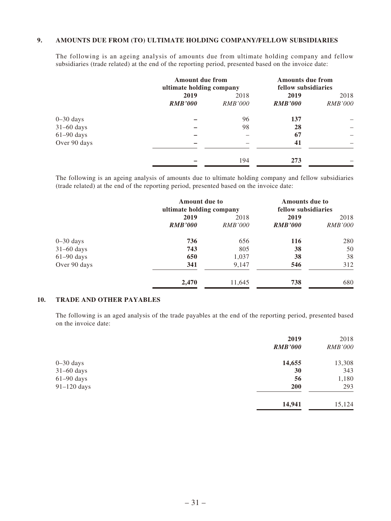#### **9. AMOUNTS DUE FROM (TO) ULTIMATE HOLDING COMPANY/FELLOW SUBSIDIARIES**

The following is an ageing analysis of amounts due from ultimate holding company and fellow subsidiaries (trade related) at the end of the reporting period, presented based on the invoice date:

|               | <b>Amount due from</b><br>ultimate holding company |                | <b>Amounts due from</b><br>fellow subsidiaries |                |
|---------------|----------------------------------------------------|----------------|------------------------------------------------|----------------|
|               | 2019                                               | 2018           | 2019                                           | 2018           |
|               | <b>RMB'000</b>                                     | <i>RMB'000</i> | <b>RMB'000</b>                                 | <i>RMB'000</i> |
| $0 - 30$ days |                                                    | 96             | 137                                            |                |
| $31-60$ days  |                                                    | 98             | 28                                             |                |
| $61-90$ days  |                                                    |                | 67                                             |                |
| Over 90 days  |                                                    |                | 41                                             |                |
|               |                                                    | 194            | 273                                            |                |

The following is an ageing analysis of amounts due to ultimate holding company and fellow subsidiaries (trade related) at the end of the reporting period, presented based on the invoice date:

|               | <b>Amount due to</b><br>ultimate holding company |                | <b>Amounts due to</b><br>fellow subsidiaries |                |
|---------------|--------------------------------------------------|----------------|----------------------------------------------|----------------|
|               | 2019                                             | 2018           | 2019                                         | 2018           |
|               | <b>RMB'000</b>                                   | <i>RMB'000</i> | <b>RMB'000</b>                               | <i>RMB'000</i> |
| $0 - 30$ days | 736                                              | 656            | 116                                          | 280            |
| $31-60$ days  | 743                                              | 805            | 38                                           | 50             |
| $61-90$ days  | 650                                              | 1,037          | 38                                           | 38             |
| Over 90 days  | 341                                              | 9,147          | 546                                          | 312            |
|               | 2,470                                            | 11,645         | 738                                          | 680            |

#### **10. TRADE AND OTHER PAYABLES**

The following is an aged analysis of the trade payables at the end of the reporting period, presented based on the invoice date:

|               | 2019           | 2018           |
|---------------|----------------|----------------|
|               | <b>RMB'000</b> | <b>RMB'000</b> |
| $0 - 30$ days | 14,655         | 13,308         |
| $31-60$ days  | 30             | 343            |
| $61-90$ days  | 56             | 1,180          |
| $91-120$ days | <b>200</b>     | 293            |
|               | 14,941         | 15,124         |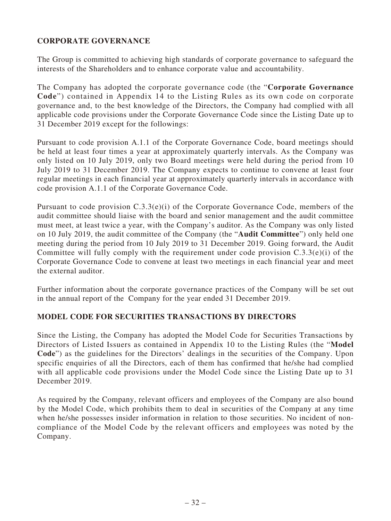## **CORPORATE GOVERNANCE**

The Group is committed to achieving high standards of corporate governance to safeguard the interests of the Shareholders and to enhance corporate value and accountability.

The Company has adopted the corporate governance code (the "**Corporate Governance Code**") contained in Appendix 14 to the Listing Rules as its own code on corporate governance and, to the best knowledge of the Directors, the Company had complied with all applicable code provisions under the Corporate Governance Code since the Listing Date up to 31 December 2019 except for the followings:

Pursuant to code provision A.1.1 of the Corporate Governance Code, board meetings should be held at least four times a year at approximately quarterly intervals. As the Company was only listed on 10 July 2019, only two Board meetings were held during the period from 10 July 2019 to 31 December 2019. The Company expects to continue to convene at least four regular meetings in each financial year at approximately quarterly intervals in accordance with code provision A.1.1 of the Corporate Governance Code.

Pursuant to code provision C.3.3(e)(i) of the Corporate Governance Code, members of the audit committee should liaise with the board and senior management and the audit committee must meet, at least twice a year, with the Company's auditor. As the Company was only listed on 10 July 2019, the audit committee of the Company (the "**Audit Committee**") only held one meeting during the period from 10 July 2019 to 31 December 2019. Going forward, the Audit Committee will fully comply with the requirement under code provision  $C.3.3(e)(i)$  of the Corporate Governance Code to convene at least two meetings in each financial year and meet the external auditor.

Further information about the corporate governance practices of the Company will be set out in the annual report of the Company for the year ended 31 December 2019.

## **MODEL CODE FOR SECURITIES TRANSACTIONS BY DIRECTORS**

Since the Listing, the Company has adopted the Model Code for Securities Transactions by Directors of Listed Issuers as contained in Appendix 10 to the Listing Rules (the "**Model Code**") as the guidelines for the Directors' dealings in the securities of the Company. Upon specific enquiries of all the Directors, each of them has confirmed that he/she had complied with all applicable code provisions under the Model Code since the Listing Date up to 31 December 2019.

As required by the Company, relevant officers and employees of the Company are also bound by the Model Code, which prohibits them to deal in securities of the Company at any time when he/she possesses insider information in relation to those securities. No incident of noncompliance of the Model Code by the relevant officers and employees was noted by the Company.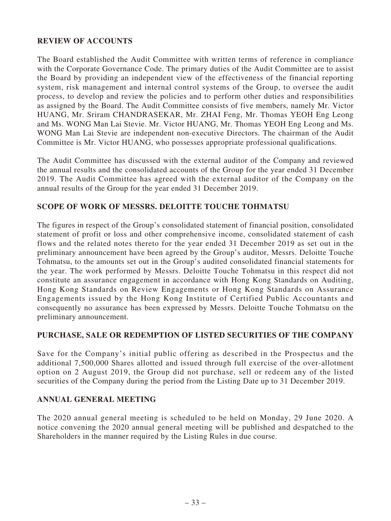## **REVIEW OF ACCOUNTS**

The Board established the Audit Committee with written terms of reference in compliance with the Corporate Governance Code. The primary duties of the Audit Committee are to assist the Board by providing an independent view of the effectiveness of the financial reporting system, risk management and internal control systems of the Group, to oversee the audit process, to develop and review the policies and to perform other duties and responsibilities as assigned by the Board. The Audit Committee consists of five members, namely Mr. Victor HUANG, Mr. Sriram CHANDRASEKAR, Mr. ZHAI Feng, Mr. Thomas YEOH Eng Leong and Ms. WONG Man Lai Stevie. Mr. Victor HUANG, Mr. Thomas YEOH Eng Leong and Ms. WONG Man Lai Stevie are independent non-executive Directors. The chairman of the Audit Committee is Mr. Victor HUANG, who possesses appropriate professional qualifications.

The Audit Committee has discussed with the external auditor of the Company and reviewed the annual results and the consolidated accounts of the Group for the year ended 31 December 2019. The Audit Committee has agreed with the external auditor of the Company on the annual results of the Group for the year ended 31 December 2019.

## **SCOPE OF WORK OF MESSRS. DELOITTE TOUCHE TOHMATSU**

The figures in respect of the Group's consolidated statement of financial position, consolidated statement of profit or loss and other comprehensive income, consolidated statement of cash flows and the related notes thereto for the year ended 31 December 2019 as set out in the preliminary announcement have been agreed by the Group's auditor, Messrs. Deloitte Touche Tohmatsu, to the amounts set out in the Group's audited consolidated financial statements for the year. The work performed by Messrs. Deloitte Touche Tohmatsu in this respect did not constitute an assurance engagement in accordance with Hong Kong Standards on Auditing, Hong Kong Standards on Review Engagements or Hong Kong Standards on Assurance Engagements issued by the Hong Kong Institute of Certified Public Accountants and consequently no assurance has been expressed by Messrs. Deloitte Touche Tohmatsu on the preliminary announcement.

#### **PURCHASE, SALE OR REDEMPTION OF LISTED SECURITIES OF THE COMPANY**

Save for the Company's initial public offering as described in the Prospectus and the additional 7,500,000 Shares allotted and issued through full exercise of the over-allotment option on 2 August 2019, the Group did not purchase, sell or redeem any of the listed securities of the Company during the period from the Listing Date up to 31 December 2019.

## **ANNUAL GENERAL MEETING**

The 2020 annual general meeting is scheduled to be held on Monday, 29 June 2020. A notice convening the 2020 annual general meeting will be published and despatched to the Shareholders in the manner required by the Listing Rules in due course.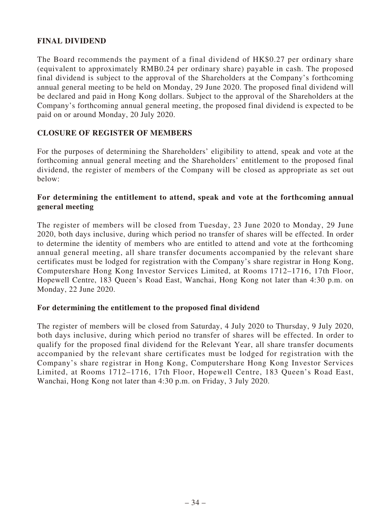## **FINAL DIVIDEND**

The Board recommends the payment of a final dividend of HK\$0.27 per ordinary share (equivalent to approximately RMB0.24 per ordinary share) payable in cash. The proposed final dividend is subject to the approval of the Shareholders at the Company's forthcoming annual general meeting to be held on Monday, 29 June 2020. The proposed final dividend will be declared and paid in Hong Kong dollars. Subject to the approval of the Shareholders at the Company's forthcoming annual general meeting, the proposed final dividend is expected to be paid on or around Monday, 20 July 2020.

#### **CLOSURE OF REGISTER OF MEMBERS**

For the purposes of determining the Shareholders' eligibility to attend, speak and vote at the forthcoming annual general meeting and the Shareholders' entitlement to the proposed final dividend, the register of members of the Company will be closed as appropriate as set out below:

#### **For determining the entitlement to attend, speak and vote at the forthcoming annual general meeting**

The register of members will be closed from Tuesday, 23 June 2020 to Monday, 29 June 2020, both days inclusive, during which period no transfer of shares will be effected. In order to determine the identity of members who are entitled to attend and vote at the forthcoming annual general meeting, all share transfer documents accompanied by the relevant share certificates must be lodged for registration with the Company's share registrar in Hong Kong, Computershare Hong Kong Investor Services Limited, at Rooms 1712–1716, 17th Floor, Hopewell Centre, 183 Queen's Road East, Wanchai, Hong Kong not later than 4:30 p.m. on Monday, 22 June 2020.

#### **For determining the entitlement to the proposed final dividend**

The register of members will be closed from Saturday, 4 July 2020 to Thursday, 9 July 2020, both days inclusive, during which period no transfer of shares will be effected. In order to qualify for the proposed final dividend for the Relevant Year, all share transfer documents accompanied by the relevant share certificates must be lodged for registration with the Company's share registrar in Hong Kong, Computershare Hong Kong Investor Services Limited, at Rooms 1712–1716, 17th Floor, Hopewell Centre, 183 Queen's Road East, Wanchai, Hong Kong not later than 4:30 p.m. on Friday, 3 July 2020.